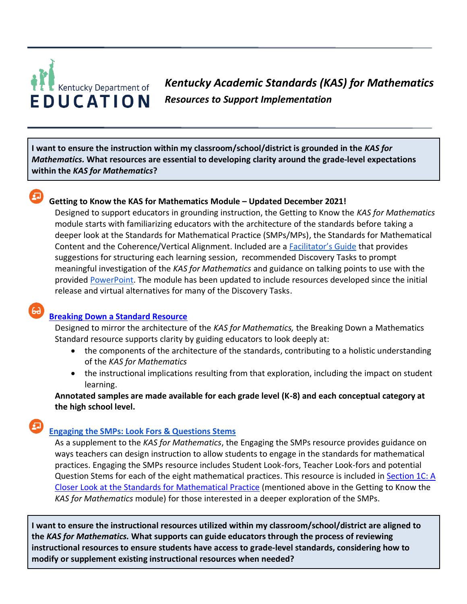# Kentucky Department of EDUCATION

*Kentucky Academic Standards (KAS) for Mathematics Resources to Support Implementation*

**I want to ensure the instruction within my classroom/school/district is grounded in the** *KAS for Mathematics.* **What resources are essential to developing clarity around the grade-level expectations within the** *KAS for Mathematics***?**

# **Getting to Know the KAS for Mathematics Module – Updated December 2021!**

Designed to support educators in grounding instruction, the Getting to Know the *KAS for Mathematics* module starts with familiarizing educators with the architecture of the standards before taking a deeper look at the Standards for Mathematical Practice (SMPs/MPs), the Standards for Mathematical Content and the Coherence/Vertical Alignment. Included are a [Facilitator's Guide](https://education.ky.gov/curriculum/standards/kyacadstand/Documents/Facilitators_Guide_Getting_to_Know_the_KAS_for_Mathematics.pdf) that provides suggestions for structuring each learning session, recommended Discovery Tasks to prompt meaningful investigation of the *KAS for Mathematics* and guidance on talking points to use with the provided [PowerPoint.](https://kystandards.org/wp-content/uploads/2019/06/Module_1_Getting_to_Know_the_Kentucky_Academic_Standards_for_Mathematics.pptx) The module has been updated to include resources developed since the initial release and virtual alternatives for many of the Discovery Tasks.

# **[Breaking Down a Standard Resource](https://kystandards.org/standards-resources/mathematics-resources/breaking-down-a-mathematics-standard/)**

Designed to mirror the architecture of the *KAS for Mathematics,* the Breaking Down a Mathematics Standard resource supports clarity by guiding educators to look deeply at:

- the components of the architecture of the standards, contributing to a holistic understanding of the *KAS for Mathematics*
- the instructional implications resulting from that exploration, including the impact on student learning.

**Annotated samples are made available for each grade level (K-8) and each conceptual category at the high school level.**

# **[Engaging the SMPs: Look Fors & Questions Stems](https://education.ky.gov/curriculum/standards/kyacadstand/Documents/SMP_Look_Fors_and_Question_Stems.pdf)**

As a supplement to the *KAS for Mathematics*, the Engaging the SMPs resource provides guidance on ways teachers can design instruction to allow students to engage in the standards for mathematical practices. Engaging the SMPs resource includes Student Look-fors, Teacher Look-fors and potential Question Stems for each of the eight mathematical practices. This resource is included in [Section 1C: A](https://education.ky.gov/curriculum/standards/kyacadstand/Documents/Facilitators_Guide_Getting_to_Know_the_KAS_for_Mathematics.pdf#page=15)  [Closer Look at the Standards for Mathematical Practice](https://education.ky.gov/curriculum/standards/kyacadstand/Documents/Facilitators_Guide_Getting_to_Know_the_KAS_for_Mathematics.pdf#page=15) (mentioned above in the Getting to Know the *KAS for Mathematics* module) for those interested in a deeper exploration of the SMPs.

**I want to ensure the instructional resources utilized within my classroom/school/district are aligned to the** *KAS for Mathematics.* **What supports can guide educators through the process of reviewing instructional resources to ensure students have access to grade-level standards, considering how to modify or supplement existing instructional resources when needed?**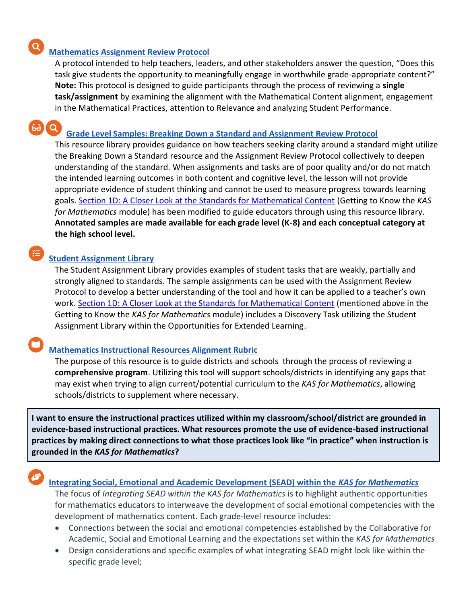# **[Mathematics Assignment Review Protocol](https://kystandards.org/standards-resources/mathematics-resources/)**

A protocol intended to help teachers, leaders, and other stakeholders answer the question, "Does this task give students the opportunity to meaningfully engage in worthwhile grade-appropriate content?" **Note:** This protocol is designed to guide participants through the process of reviewing a **single task/assignment** by examining the alignment with the Mathematical Content alignment, engagement in the Mathematical Practices, attention to Relevance and analyzing Student Performance.

#### 60 Q **[Grade Level Samples: Breaking Down a Standard and Assignment Review Protocol](https://kystandards.org/standards-resources/mathematics-resources/math-pl-modules/gls_uts_arp/)**

This resource library provides guidance on how teachers seeking clarity around a standard might utilize the [Breaking Down a Standard](https://education.ky.gov/curriculum/standards/kyacadstand/Documents/Breaking_Down_a_Mathematics_Standard.pdf) resource and the [Assignment Review Protocol](https://education.ky.gov/curriculum/standards/kyacadstand/Documents/Mathematics_Assignment_Review_Protocol.docx) collectively to deepen understanding of the standard. When assignments and tasks are of poor quality and/or do not match the intended learning outcomes in both content and cognitive level, the lesson will not provide appropriate evidence of student thinking and cannot be used to measure progress towards learning goals. [Section 1D: A Closer Look at the Standards for Mathematical Content](https://education.ky.gov/curriculum/standards/kyacadstand/Documents/Facilitators_Guide_Getting_to_Know_the_KAS_for_Mathematics.pdf#page=32) (Getting to Know the *KAS for Mathematics* module) has been modified to guide educators through using this resource library. **Annotated samples are made available for each grade level (K-8) and each conceptual category at the high school level.**

# **[Student Assignment Library](https://kystandards.org/standards-resources/sal/)**

The Student Assignment Library provides examples of student tasks that are weakly, partially and strongly aligned to standards. The sample assignments can be used with the [Assignment Review](https://kystandards.org/standards-resources/assignment-review-protocols/)  [Protocol](https://kystandards.org/standards-resources/assignment-review-protocols/) to develop a better understanding of the tool and how it can be applied to a teacher's own work. [Section 1D: A Closer Look at the Standards for Mathematical Content](https://education.ky.gov/curriculum/standards/kyacadstand/Documents/Facilitators_Guide_Getting_to_Know_the_KAS_for_Mathematics.pdf#page=32) (mentioned above in the Getting to Know the *KAS for Mathematics* module) includes a Discovery Task utilizing the Student Assignment Library within the Opportunities for Extended Learning.

# **[Mathematics Instructional Resources Alignment Rubric](https://kystandards.org/standards-resources/mathematics-resources/)**

The purpose of this resource is to guide districts and schools through the process of reviewing a **comprehensive program**. Utilizing this tool will support schools/districts in identifying any gaps that may exist when trying to align current/potential curriculum to the *KAS for Mathematics*, allowing schools/districts to supplement where necessary.

**I want to ensure the instructional practices utilized within my classroom/school/district are grounded in evidence-based instructional practices. What resources promote the use of evidence-based instructional practices by making direct connections to what those practices look like "in practice" when instruction is grounded in the** *KAS for Mathematics***?**

#### **[Integrating Social, Emotional and Academic Development \(SEAD\) within the](https://kystandards.org/standards-resources/mathematics-resources/integrating-sead-mathematics/)** *[KAS for Mathematics](https://kystandards.org/standards-resources/mathematics-resources/integrating-sead-mathematics/)*

The focus of *Integrating SEAD within the KAS for Mathematics* is to highlight authentic opportunities for mathematics educators to interweave the development of social emotional competencies with the development of mathematics content. Each grade-level resource includes:

- Connections between the social and emotional competencies established by the Collaborative for Academic, Social and Emotional Learning and the expectations set within the *KAS for Mathematics*
- Design considerations and specific examples of what integrating SEAD might look like within the specific grade level;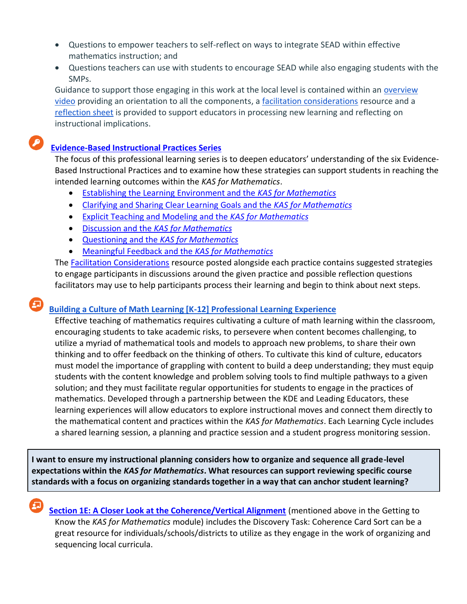- Questions to empower teachers to self-reflect on ways to integrate SEAD within effective mathematics instruction; and
- Questions teachers can use with students to encourage SEAD while also engaging students with the SMPs.

Guidance to support those engaging in this work at the local level is contained within an [overview](https://lnks.gd/l/eyJhbGciOiJIUzI1NiJ9.eyJidWxsZXRpbl9saW5rX2lkIjoxMDMsInVyaSI6ImJwMjpjbGljayIsImJ1bGxldGluX2lkIjoiMjAyMTAyMTAuMzQ5NjM1OTEiLCJ1cmwiOiJodHRwczovL3d3dy55b3V0dWJlLmNvbS93YXRjaD92PVFJWHRlSldpdFZnJmZlYXR1cmU9ZW1iX2xvZ28ifQ.xaT-k4lAADR6suBqu0BuGDlgqZTzk1TCLK8inCQ_Cbo/s/947322386/br/97310459794-l)  [video](https://lnks.gd/l/eyJhbGciOiJIUzI1NiJ9.eyJidWxsZXRpbl9saW5rX2lkIjoxMDMsInVyaSI6ImJwMjpjbGljayIsImJ1bGxldGluX2lkIjoiMjAyMTAyMTAuMzQ5NjM1OTEiLCJ1cmwiOiJodHRwczovL3d3dy55b3V0dWJlLmNvbS93YXRjaD92PVFJWHRlSldpdFZnJmZlYXR1cmU9ZW1iX2xvZ28ifQ.xaT-k4lAADR6suBqu0BuGDlgqZTzk1TCLK8inCQ_Cbo/s/947322386/br/97310459794-l) providing an orientation to all the components, a [facilitation considerations](https://lnks.gd/l/eyJhbGciOiJIUzI1NiJ9.eyJidWxsZXRpbl9saW5rX2lkIjoxMDIsInVyaSI6ImJwMjpjbGljayIsImJ1bGxldGluX2lkIjoiMjAyMTAyMTAuMzQ5NjM1OTEiLCJ1cmwiOiJodHRwczovL2VkdWNhdGlvbi5reS5nb3YvY3VycmljdWx1bS9zdGFuZGFyZHMva3lhY2Fkc3RhbmQvRG9jdW1lbnRzL0ZhY2lsaXRhdGlvbl9Db25zaWRlcmF0aW9uc19mb3JfSW50ZWdyYXRpbmdfU0VBRF93aXRoaW5fS0FTX2Zvcl9NYXRoZW1hdGljcy5kb2N4In0.RTsT2Cwc-GFO8t4MCoKQzBZr8cCSrbER_Wa0GEoKvuo/s/947322386/br/97310459794-l) resource and [a](https://lnks.gd/l/eyJhbGciOiJIUzI1NiJ9.eyJidWxsZXRpbl9saW5rX2lkIjoxMDEsInVyaSI6ImJwMjpjbGljayIsImJ1bGxldGluX2lkIjoiMjAyMTAyMTAuMzQ5NjM1OTEiLCJ1cmwiOiJodHRwczovL2VkdWNhdGlvbi5reS5nb3YvY3VycmljdWx1bS9zdGFuZGFyZHMva3lhY2Fkc3RhbmQvRG9jdW1lbnRzL1JlZmxlY3Rpb25fU2hlZXRfSW50ZWdyYXRpbmdfU0VBRF93aXRoaW5fS0FTX2Zvcl9NYXRoZW1hdGljcy5kb2N4In0.yxnbUMfNGZ1DoEm4LEd2IcujrAzR7bQ2hsCTjimY_xk/s/947322386/br/97310459794-l) [reflection sheet](https://lnks.gd/l/eyJhbGciOiJIUzI1NiJ9.eyJidWxsZXRpbl9saW5rX2lkIjoxMDEsInVyaSI6ImJwMjpjbGljayIsImJ1bGxldGluX2lkIjoiMjAyMTAyMTAuMzQ5NjM1OTEiLCJ1cmwiOiJodHRwczovL2VkdWNhdGlvbi5reS5nb3YvY3VycmljdWx1bS9zdGFuZGFyZHMva3lhY2Fkc3RhbmQvRG9jdW1lbnRzL1JlZmxlY3Rpb25fU2hlZXRfSW50ZWdyYXRpbmdfU0VBRF93aXRoaW5fS0FTX2Zvcl9NYXRoZW1hdGljcy5kb2N4In0.yxnbUMfNGZ1DoEm4LEd2IcujrAzR7bQ2hsCTjimY_xk/s/947322386/br/97310459794-l) is provided to support educators in processing new learning and reflecting on instructional implications.

# **[Evidence-Based Instructional Practices Series](https://kystandards.org/standards-resources/pl-mods/evidence-based-instructional-practices-ebips/)**

The focus of this professional learning series is to deepen educators' understanding of the six Evidence-Based Instructional Practices and to examine how these strategies can support students in reaching the intended learning outcomes within the *KAS for Mathematics*.

- [Establishing the Learning Environment and the](https://education.ky.gov/curriculum/standards/kyacadstand/Documents/EBIP_1_Mathematics.pdf) *KAS for Mathematics*
- [Clarifying and Sharing Clear Learning Goals and the](https://education.ky.gov/curriculum/standards/kyacadstand/Documents/EBIP_2_Mathematics.pdf) *KAS for Mathematics*
- [Explicit Teaching and Modeling and the](https://education.ky.gov/curriculum/standards/kyacadstand/Documents/EBIP_3_Mathematics.pdf) *KAS for Mathematics*
- Discussion and the *[KAS for Mathematics](https://education.ky.gov/curriculum/standards/kyacadstand/Documents/EBIP_4_Mathematics.pdf)*
- Questioning and the *[KAS for Mathematics](https://education.ky.gov/curriculum/standards/kyacadstand/Documents/EBIP_5_Mathematics.pdf)*
- [Meaningful Feedback and the](https://education.ky.gov/curriculum/standards/kyacadstand/Documents/EBIP_6_Mathematics.pdf) *KAS for Mathematics*

The [Facilitation Considerations](https://kystandards.org/standards-resources/pl-mods/evidence-based-instructional-practices-ebips/) resource posted alongside each practice contains suggested strategies to engage participants in discussions around the given practice and possible reflection questions facilitators may use to help participants process their learning and begin to think about next steps.

# **[Building a Culture of Math Learning \[K-12\] Professional Learning Experience](https://kystandards.org/standards-resources/mathematics-resources/math-pl-modules/building-a-culture-of-math-learning-series/)**

Effective teaching of mathematics requires cultivating a culture of math learning within the classroom, encouraging students to take academic risks, to persevere when content becomes challenging, to utilize a myriad of mathematical tools and models to approach new problems, to share their own thinking and to offer feedback on the thinking of others. To cultivate this kind of culture, educators must model the importance of grappling with content to build a deep understanding; they must equip students with the content knowledge and problem solving tools to find multiple pathways to a given solution; and they must facilitate regular opportunities for students to engage in the practices of mathematics. Developed through a partnership between the KDE and Leading Educators, these learning experiences will allow educators to explore instructional moves and connect them directly to the mathematical content and practices within the *KAS for Mathematics*. Each Learning Cycle includes a shared learning session, a planning and practice session and a student progress monitoring session.

**I want to ensure my instructional planning considers how to organize and sequence all grade-level expectations within the** *KAS for Mathematics***. What resources can support reviewing specific course standards with a focus on organizing standards together in a way that can anchor student learning?**

 **[Section 1E: A Closer Look at the Coherence/Vertical Alignment](https://education.ky.gov/curriculum/standards/kyacadstand/Documents/Facilitators_Guide_Getting_to_Know_the_KAS_for_Mathematics.pdf#page=85)** (mentioned above in the Getting to Know the *KAS for Mathematics* module) includes the Discovery Task: Coherence Card Sort can be a great resource for individuals/schools/districts to utilize as they engage in the work of organizing and sequencing local curricula.